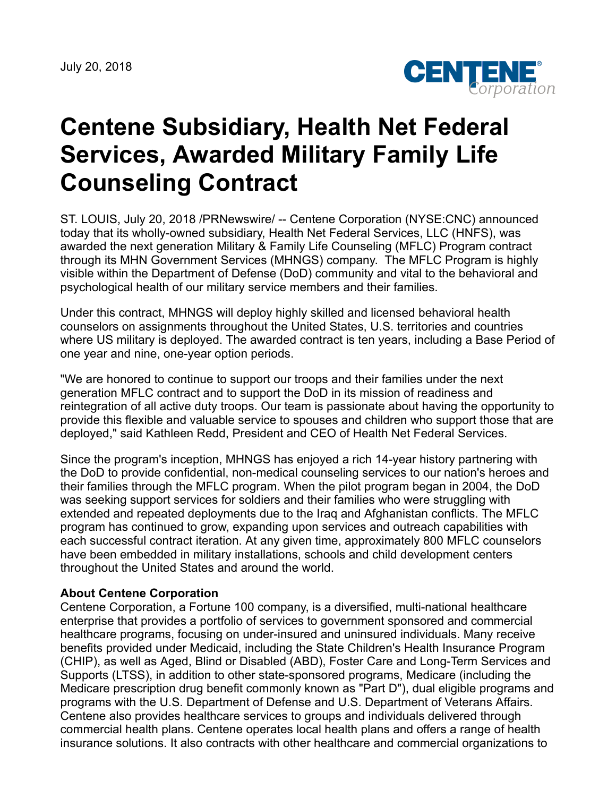July 20, 2018



## **Centene Subsidiary, Health Net Federal Services, Awarded Military Family Life Counseling Contract**

ST. LOUIS, July 20, 2018 /PRNewswire/ -- Centene Corporation (NYSE:CNC) announced today that its wholly-owned subsidiary, Health Net Federal Services, LLC (HNFS), was awarded the next generation Military & Family Life Counseling (MFLC) Program contract through its MHN Government Services (MHNGS) company. The MFLC Program is highly visible within the Department of Defense (DoD) community and vital to the behavioral and psychological health of our military service members and their families.

Under this contract, MHNGS will deploy highly skilled and licensed behavioral health counselors on assignments throughout the United States, U.S. territories and countries where US military is deployed. The awarded contract is ten years, including a Base Period of one year and nine, one-year option periods.

"We are honored to continue to support our troops and their families under the next generation MFLC contract and to support the DoD in its mission of readiness and reintegration of all active duty troops. Our team is passionate about having the opportunity to provide this flexible and valuable service to spouses and children who support those that are deployed," said Kathleen Redd, President and CEO of Health Net Federal Services.

Since the program's inception, MHNGS has enjoyed a rich 14-year history partnering with the DoD to provide confidential, non-medical counseling services to our nation's heroes and their families through the MFLC program. When the pilot program began in 2004, the DoD was seeking support services for soldiers and their families who were struggling with extended and repeated deployments due to the Iraq and Afghanistan conflicts. The MFLC program has continued to grow, expanding upon services and outreach capabilities with each successful contract iteration. At any given time, approximately 800 MFLC counselors have been embedded in military installations, schools and child development centers throughout the United States and around the world.

## **About Centene Corporation**

Centene Corporation, a Fortune 100 company, is a diversified, multi-national healthcare enterprise that provides a portfolio of services to government sponsored and commercial healthcare programs, focusing on under-insured and uninsured individuals. Many receive benefits provided under Medicaid, including the State Children's Health Insurance Program (CHIP), as well as Aged, Blind or Disabled (ABD), Foster Care and Long-Term Services and Supports (LTSS), in addition to other state-sponsored programs, Medicare (including the Medicare prescription drug benefit commonly known as "Part D"), dual eligible programs and programs with the U.S. Department of Defense and U.S. Department of Veterans Affairs. Centene also provides healthcare services to groups and individuals delivered through commercial health plans. Centene operates local health plans and offers a range of health insurance solutions. It also contracts with other healthcare and commercial organizations to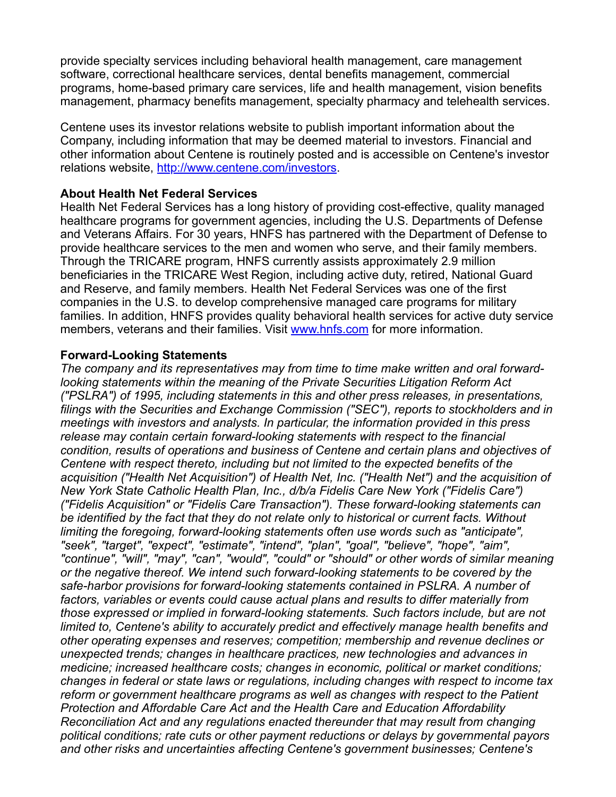provide specialty services including behavioral health management, care management software, correctional healthcare services, dental benefits management, commercial programs, home-based primary care services, life and health management, vision benefits management, pharmacy benefits management, specialty pharmacy and telehealth services.

Centene uses its investor relations website to publish important information about the Company, including information that may be deemed material to investors. Financial and other information about Centene is routinely posted and is accessible on Centene's investor relations website, <http://www.centene.com/investors>.

## **About Health Net Federal Services**

Health Net Federal Services has a long history of providing cost-effective, quality managed healthcare programs for government agencies, including the U.S. Departments of Defense and Veterans Affairs. For 30 years, HNFS has partnered with the Department of Defense to provide healthcare services to the men and women who serve, and their family members. Through the TRICARE program, HNFS currently assists approximately 2.9 million beneficiaries in the TRICARE West Region, including active duty, retired, National Guard and Reserve, and family members. Health Net Federal Services was one of the first companies in the U.S. to develop comprehensive managed care programs for military families. In addition, HNFS provides quality behavioral health services for active duty service members, veterans and their families. Visit [www.hnfs.com](http://www.hnfs.com/) for more information.

## **Forward-Looking Statements**

*The company and its representatives may from time to time make written and oral forwardlooking statements within the meaning of the Private Securities Litigation Reform Act ("PSLRA") of 1995, including statements in this and other press releases, in presentations, filings with the Securities and Exchange Commission ("SEC"), reports to stockholders and in meetings with investors and analysts. In particular, the information provided in this press release may contain certain forward-looking statements with respect to the financial condition, results of operations and business of Centene and certain plans and objectives of Centene with respect thereto, including but not limited to the expected benefits of the acquisition ("Health Net Acquisition") of Health Net, Inc. ("Health Net") and the acquisition of New York State Catholic Health Plan, Inc., d/b/a Fidelis Care New York ("Fidelis Care") ("Fidelis Acquisition" or "Fidelis Care Transaction"). These forward-looking statements can be identified by the fact that they do not relate only to historical or current facts. Without limiting the foregoing, forward-looking statements often use words such as "anticipate", "seek", "target", "expect", "estimate", "intend", "plan", "goal", "believe", "hope", "aim", "continue", "will", "may", "can", "would", "could" or "should" or other words of similar meaning or the negative thereof. We intend such forward-looking statements to be covered by the safe-harbor provisions for forward-looking statements contained in PSLRA. A number of factors, variables or events could cause actual plans and results to differ materially from those expressed or implied in forward-looking statements. Such factors include, but are not limited to, Centene's ability to accurately predict and effectively manage health benefits and other operating expenses and reserves; competition; membership and revenue declines or unexpected trends; changes in healthcare practices, new technologies and advances in medicine; increased healthcare costs; changes in economic, political or market conditions; changes in federal or state laws or regulations, including changes with respect to income tax reform or government healthcare programs as well as changes with respect to the Patient Protection and Affordable Care Act and the Health Care and Education Affordability Reconciliation Act and any regulations enacted thereunder that may result from changing political conditions; rate cuts or other payment reductions or delays by governmental payors and other risks and uncertainties affecting Centene's government businesses; Centene's*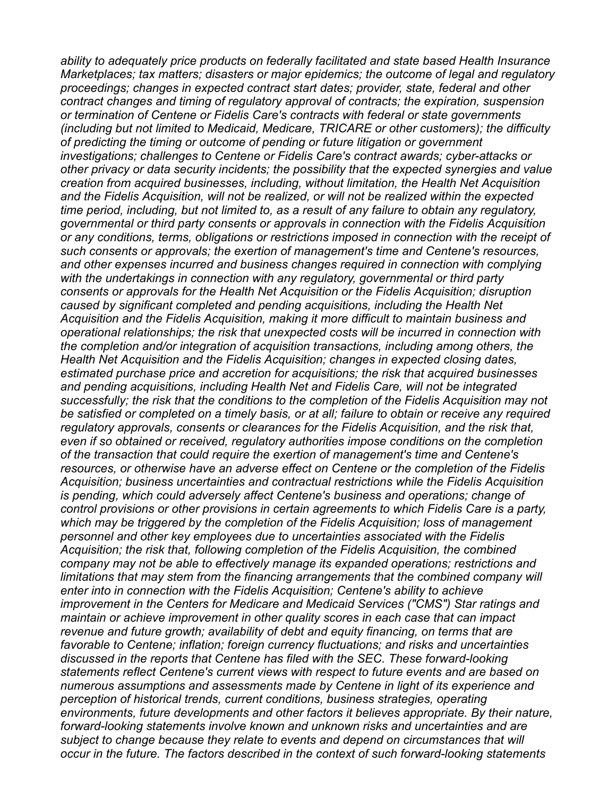*ability to adequately price products on federally facilitated and state based Health Insurance Marketplaces; tax matters; disasters or major epidemics; the outcome of legal and regulatory proceedings; changes in expected contract start dates; provider, state, federal and other contract changes and timing of regulatory approval of contracts; the expiration, suspension or termination of Centene or Fidelis Care's contracts with federal or state governments (including but not limited to Medicaid, Medicare, TRICARE or other customers); the difficulty of predicting the timing or outcome of pending or future litigation or government investigations; challenges to Centene or Fidelis Care's contract awards; cyber-attacks or other privacy or data security incidents; the possibility that the expected synergies and value creation from acquired businesses, including, without limitation, the Health Net Acquisition and the Fidelis Acquisition, will not be realized, or will not be realized within the expected time period, including, but not limited to, as a result of any failure to obtain any regulatory, governmental or third party consents or approvals in connection with the Fidelis Acquisition or any conditions, terms, obligations or restrictions imposed in connection with the receipt of such consents or approvals; the exertion of management's time and Centene's resources, and other expenses incurred and business changes required in connection with complying with the undertakings in connection with any regulatory, governmental or third party consents or approvals for the Health Net Acquisition or the Fidelis Acquisition; disruption caused by significant completed and pending acquisitions, including the Health Net Acquisition and the Fidelis Acquisition, making it more difficult to maintain business and operational relationships; the risk that unexpected costs will be incurred in connection with the completion and/or integration of acquisition transactions, including among others, the Health Net Acquisition and the Fidelis Acquisition; changes in expected closing dates, estimated purchase price and accretion for acquisitions; the risk that acquired businesses and pending acquisitions, including Health Net and Fidelis Care, will not be integrated successfully; the risk that the conditions to the completion of the Fidelis Acquisition may not be satisfied or completed on a timely basis, or at all; failure to obtain or receive any required regulatory approvals, consents or clearances for the Fidelis Acquisition, and the risk that, even if so obtained or received, regulatory authorities impose conditions on the completion of the transaction that could require the exertion of management's time and Centene's resources, or otherwise have an adverse effect on Centene or the completion of the Fidelis Acquisition; business uncertainties and contractual restrictions while the Fidelis Acquisition is pending, which could adversely affect Centene's business and operations; change of control provisions or other provisions in certain agreements to which Fidelis Care is a party, which may be triggered by the completion of the Fidelis Acquisition; loss of management personnel and other key employees due to uncertainties associated with the Fidelis Acquisition; the risk that, following completion of the Fidelis Acquisition, the combined company may not be able to effectively manage its expanded operations; restrictions and limitations that may stem from the financing arrangements that the combined company will enter into in connection with the Fidelis Acquisition; Centene's ability to achieve improvement in the Centers for Medicare and Medicaid Services ("CMS") Star ratings and maintain or achieve improvement in other quality scores in each case that can impact revenue and future growth; availability of debt and equity financing, on terms that are favorable to Centene; inflation; foreign currency fluctuations; and risks and uncertainties discussed in the reports that Centene has filed with the SEC. These forward-looking statements reflect Centene's current views with respect to future events and are based on numerous assumptions and assessments made by Centene in light of its experience and perception of historical trends, current conditions, business strategies, operating environments, future developments and other factors it believes appropriate. By their nature, forward-looking statements involve known and unknown risks and uncertainties and are subject to change because they relate to events and depend on circumstances that will occur in the future. The factors described in the context of such forward-looking statements*